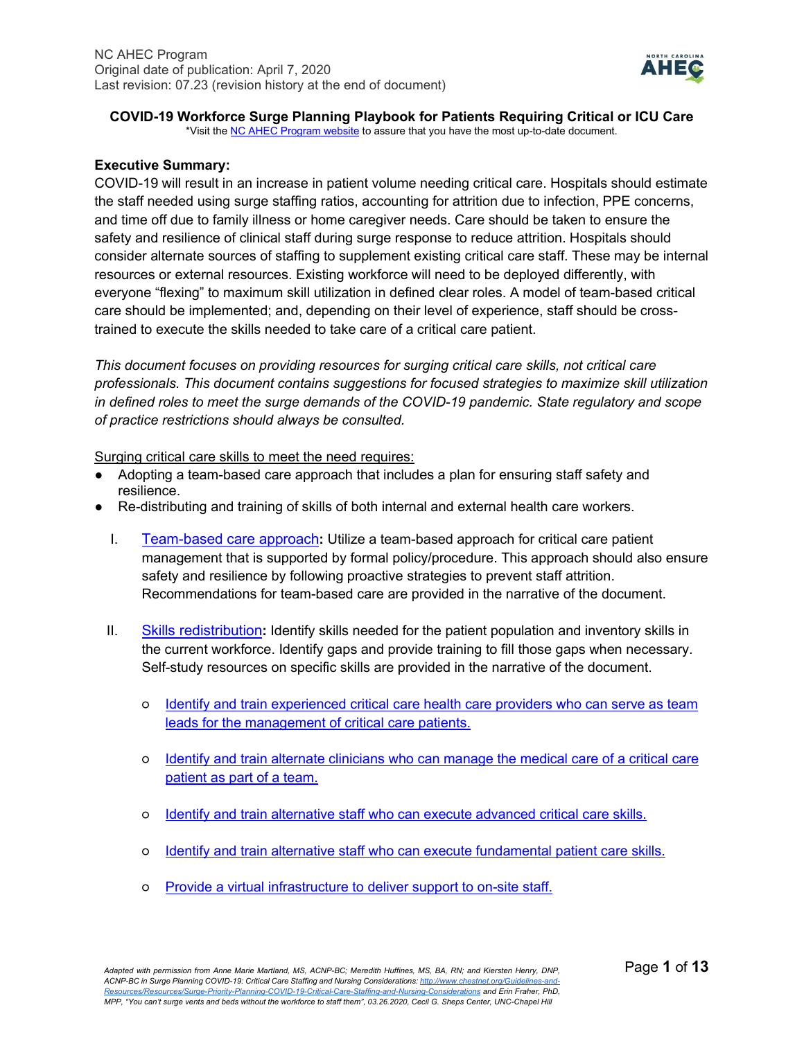

# **COVID-19 Workforce Surge Planning Playbook for Patients Requiring Critical or ICU Care**

\*Visit th[e NC AHEC Program website](https://www.ncahec.net/covid-19/training-and-literature-for-health-care-professionals/workforce-surge-planning-playbooks/) to assure that you have the most up-to-date document.

# **Executive Summary:**

COVID-19 will result in an increase in patient volume needing critical care. Hospitals should estimate the staff needed using surge staffing ratios, accounting for attrition due to infection, PPE concerns, and time off due to family illness or home caregiver needs. Care should be taken to ensure the safety and resilience of clinical staff during surge response to reduce attrition. Hospitals should consider alternate sources of staffing to supplement existing critical care staff. These may be internal resources or external resources. Existing workforce will need to be deployed differently, with everyone "flexing" to maximum skill utilization in defined clear roles. A model of team-based critical care should be implemented; and, depending on their level of experience, staff should be crosstrained to execute the skills needed to take care of a critical care patient.

*This document focuses on providing resources for surging critical care skills, not critical care professionals. This document contains suggestions for focused strategies to maximize skill utilization in defined roles to meet the surge demands of the COVID-19 pandemic. State regulatory and scope of practice restrictions should always be consulted.*

#### Surging critical care skills to meet the need requires:

- Adopting a team-based care approach that includes a plan for ensuring staff safety and resilience.
- Re-distributing and training of skills of both internal and external health care workers.
	- I. [Team-based care approach](#page-1-0)**:** Utilize a team-based approach for critical care patient management that is supported by formal policy/procedure. This approach should also ensure safety and resilience by following proactive strategies to prevent staff attrition. Recommendations for team-based care are provided in the narrative of the document.
	- II. [Skills redistribution](#page-4-0)**:** Identify skills needed for the patient population and inventory skills in the current workforce. Identify gaps and provide training to fill those gaps when necessary. Self-study resources on specific skills are provided in the narrative of the document.
		- **○** [Identify and train experienced critical care health care providers who can serve as team](#page-4-1)  [leads for the management of critical care patients.](#page-4-1)
		- **○** [Identify and train alternate clinicians who can manage the medical care of a critical care](#page-5-0)  [patient as part of a team.](#page-5-0)
		- **○** [Identify and train alternative staff who can execute advanced critical care skills.](#page-6-0)
		- **○** [Identify and train alternative staff who can execute fundamental patient care skills.](#page-9-0)
		- **○** [Provide a virtual infrastructure to deliver support to on-site staff.](#page-10-0)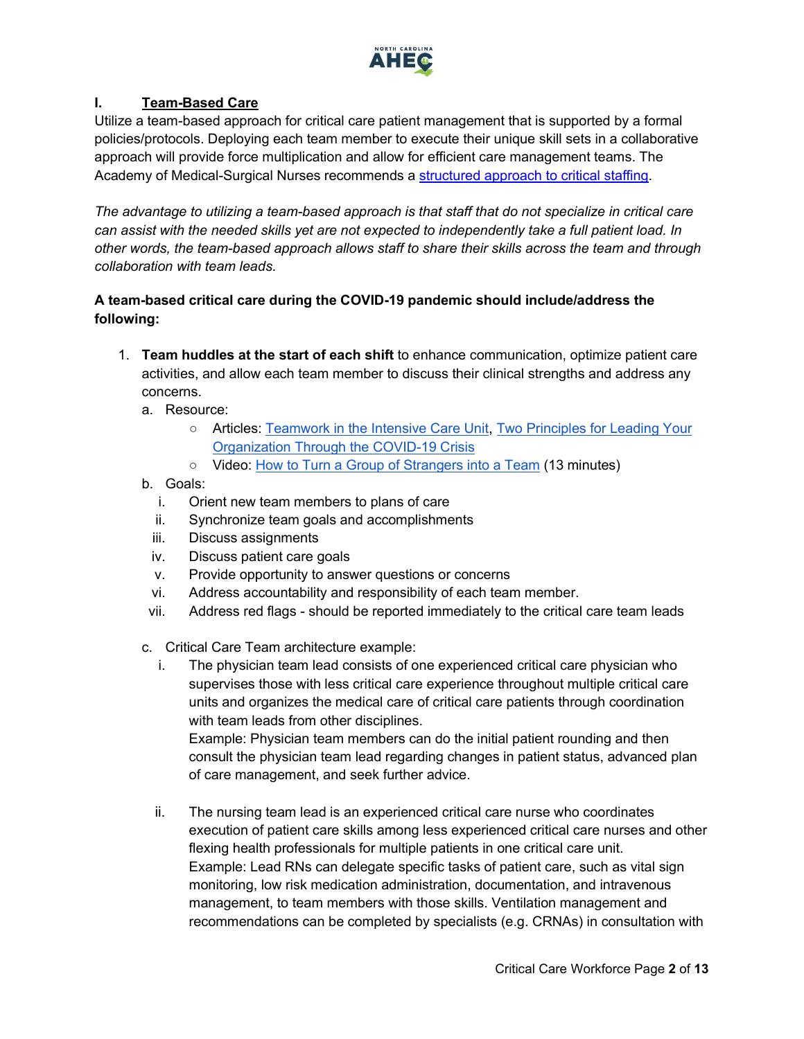

# <span id="page-1-0"></span>**I. Team-Based Care**

Utilize a team-based approach for critical care patient management that is supported by a formal policies/protocols. Deploying each team member to execute their unique skill sets in a collaborative approach will provide force multiplication and allow for efficient care management teams. The Academy of Medical-Surgical Nurses recommends a [structured approach to critical staffing.](https://www.amsnstaffingtoolkit.org/staffing-model?utm_campaign=ecd68526-d0e7-43bc-b923-1cceb25cbed7&utm_source=so&utm_medium=mail&cid=703b62d4-18d2-431d-8efc-7f06b64ee24b)

*The advantage to utilizing a team-based approach is that staff that do not specialize in critical care can assist with the needed skills yet are not expected to independently take a full patient load. In other words, the team-based approach allows staff to share their skills across the team and through collaboration with team leads.*

# **A team-based critical care during the COVID-19 pandemic should include/address the following:**

- 1. **Team huddles at the start of each shift** to enhance communication, optimize patient care activities, and allow each team member to discuss their clinical strengths and address any concerns.
	- a. Resource:
		- Articles: [Teamwork in the Intensive Care Unit,](https://www.ncbi.nlm.nih.gov/pmc/articles/PMC6662208/) [Two Principles for Leading Your](https://insight.kellogg.northwestern.edu/article/two-principles-leading-organization-covid-19-crisis)  [Organization Through the COVID-19 Crisis](https://insight.kellogg.northwestern.edu/article/two-principles-leading-organization-covid-19-crisis)
		- Video: [How to Turn a Group of Strangers into a Team](https://www.ted.com/talks/amy_edmondson_how_to_turn_a_group_of_strangers_into_a_team) (13 minutes)
	- b. Goals:
		- i. Orient new team members to plans of care
		- ii. Synchronize team goals and accomplishments
		- iii. Discuss assignments
		- iv. Discuss patient care goals
		- v. Provide opportunity to answer questions or concerns
		- vi. Address accountability and responsibility of each team member.
	- vii. Address red flags should be reported immediately to the critical care team leads
	- c. Critical Care Team architecture example:
		- i. The physician team lead consists of one experienced critical care physician who supervises those with less critical care experience throughout multiple critical care units and organizes the medical care of critical care patients through coordination with team leads from other disciplines.

Example: Physician team members can do the initial patient rounding and then consult the physician team lead regarding changes in patient status, advanced plan of care management, and seek further advice.

ii. The nursing team lead is an experienced critical care nurse who coordinates execution of patient care skills among less experienced critical care nurses and other flexing health professionals for multiple patients in one critical care unit. Example: Lead RNs can delegate specific tasks of patient care, such as vital sign monitoring, low risk medication administration, documentation, and intravenous management, to team members with those skills. Ventilation management and recommendations can be completed by specialists (e.g. CRNAs) in consultation with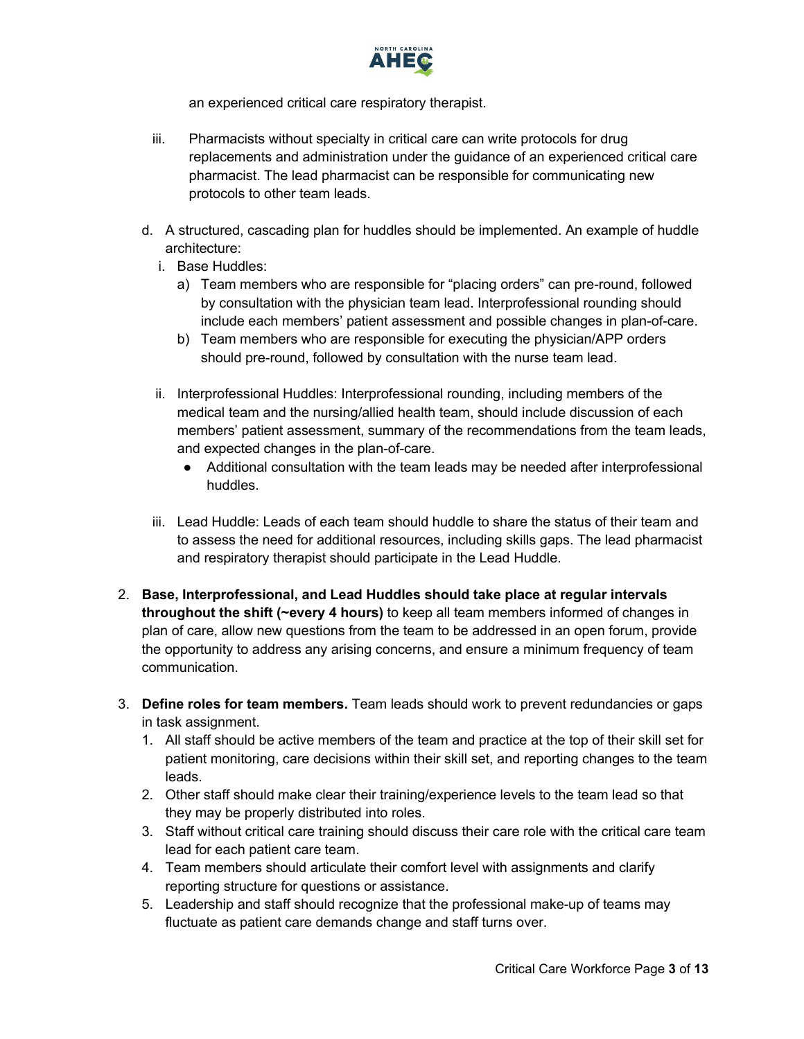

an experienced critical care respiratory therapist.

- iii. Pharmacists without specialty in critical care can write protocols for drug replacements and administration under the guidance of an experienced critical care pharmacist. The lead pharmacist can be responsible for communicating new protocols to other team leads.
- d. A structured, cascading plan for huddles should be implemented. An example of huddle architecture:
	- i. Base Huddles:
		- a) Team members who are responsible for "placing orders" can pre-round, followed by consultation with the physician team lead. Interprofessional rounding should include each members' patient assessment and possible changes in plan-of-care.
		- b) Team members who are responsible for executing the physician/APP orders should pre-round, followed by consultation with the nurse team lead.
	- ii. Interprofessional Huddles: Interprofessional rounding, including members of the medical team and the nursing/allied health team, should include discussion of each members' patient assessment, summary of the recommendations from the team leads, and expected changes in the plan-of-care.
		- Additional consultation with the team leads may be needed after interprofessional huddles.
	- iii. Lead Huddle: Leads of each team should huddle to share the status of their team and to assess the need for additional resources, including skills gaps. The lead pharmacist and respiratory therapist should participate in the Lead Huddle.
- 2. **Base, Interprofessional, and Lead Huddles should take place at regular intervals throughout the shift (~every 4 hours)** to keep all team members informed of changes in plan of care, allow new questions from the team to be addressed in an open forum, provide the opportunity to address any arising concerns, and ensure a minimum frequency of team communication.
- 3. **Define roles for team members.** Team leads should work to prevent redundancies or gaps in task assignment.
	- 1. All staff should be active members of the team and practice at the top of their skill set for patient monitoring, care decisions within their skill set, and reporting changes to the team leads.
	- 2. Other staff should make clear their training/experience levels to the team lead so that they may be properly distributed into roles.
	- 3. Staff without critical care training should discuss their care role with the critical care team lead for each patient care team.
	- 4. Team members should articulate their comfort level with assignments and clarify reporting structure for questions or assistance.
	- 5. Leadership and staff should recognize that the professional make-up of teams may fluctuate as patient care demands change and staff turns over.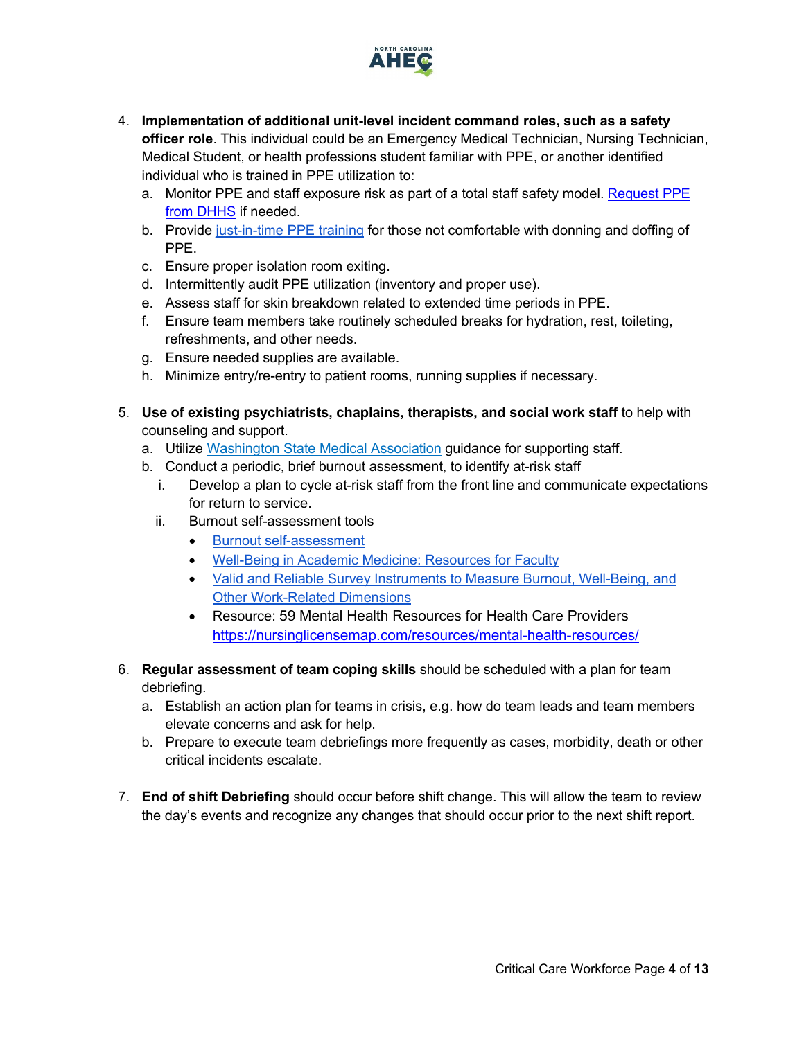

- 4. **Implementation of additional unit-level incident command roles, such as a safety officer role**. This individual could be an Emergency Medical Technician, Nursing Technician, Medical Student, or health professions student familiar with PPE, or another identified individual who is trained in PPE utilization to:
	- a. Monitor PPE and staff exposure risk as part of a total staff safety model[. Request PPE](https://www.ncdhhs.gov/divisions/public-health/covid19/health-care-providers-hospitals-and-laboratories/requesting-ppe)  [from DHHS](https://www.ncdhhs.gov/divisions/public-health/covid19/health-care-providers-hospitals-and-laboratories/requesting-ppe) if needed.
	- b. Provide [just-in-time PPE training](https://www.cdc.gov/vhf/ebola/hcp/ppe-training/index.html) for those not comfortable with donning and doffing of PPE.
	- c. Ensure proper isolation room exiting.
	- d. Intermittently audit PPE utilization (inventory and proper use).
	- e. Assess staff for skin breakdown related to extended time periods in PPE.
	- f. Ensure team members take routinely scheduled breaks for hydration, rest, toileting, refreshments, and other needs.
	- g. Ensure needed supplies are available.
	- h. Minimize entry/re-entry to patient rooms, running supplies if necessary.
- 5. **Use of existing psychiatrists, chaplains, therapists, and social work staff** to help with counseling and support.
	- a. Utilize [Washington State Medical Association](https://wsma.org/WSMA/Resources/COVID-19/Care_for_the_Caregiver_During_COVID-19_Outbreak/care_for_the_caregiver_during_covid_19_outbreak.aspx) guidance for supporting staff.
	- b. Conduct a periodic, brief burnout assessment, to identify at-risk staff
		- i. Develop a plan to cycle at-risk staff from the front line and communicate expectations for return to service.
		- ii. Burnout self-assessment tools
			- [Burnout self-assessment](https://wellmd.stanford.edu/test-yourself.html)
			- [Well-Being in Academic Medicine: Resources for Faculty](https://www.aamc.org/news-insights/wellbeing/faculty)
			- [Valid and Reliable Survey Instruments to Measure Burnout, Well-Being, and](https://nam.edu/valid-reliable-survey-instruments-measure-burnout-well-work-related-dimensions/)  [Other Work-Related Dimensions](https://nam.edu/valid-reliable-survey-instruments-measure-burnout-well-work-related-dimensions/)
			- Resource: 59 Mental Health Resources for Health Care Providers <https://nursinglicensemap.com/resources/mental-health-resources/>
- 6. **Regular assessment of team coping skills** should be scheduled with a plan for team debriefing.
	- a. Establish an action plan for teams in crisis, e.g. how do team leads and team members elevate concerns and ask for help.
	- b. Prepare to execute team debriefings more frequently as cases, morbidity, death or other critical incidents escalate.
- 7. **End of shift Debriefing** should occur before shift change. This will allow the team to review the day's events and recognize any changes that should occur prior to the next shift report.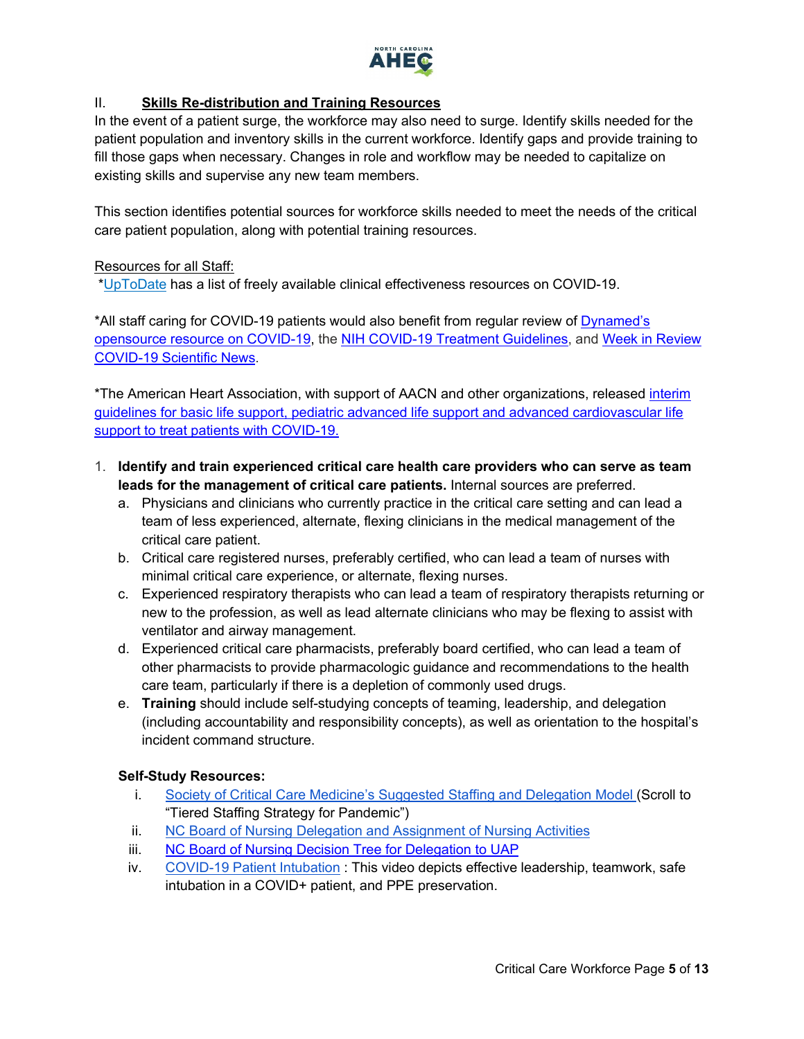

# <span id="page-4-0"></span>II. **Skills Re-distribution and Training Resources**

In the event of a patient surge, the workforce may also need to surge. Identify skills needed for the patient population and inventory skills in the current workforce. Identify gaps and provide training to fill those gaps when necessary. Changes in role and workflow may be needed to capitalize on existing skills and supervise any new team members.

This section identifies potential sources for workforce skills needed to meet the needs of the critical care patient population, along with potential training resources.

### Resources for all Staff:

[\\*UpToDate](https://www.uptodate.com/home/covid-19-access) has a list of freely available clinical effectiveness resources on COVID-19.

\*All staff caring for COVID-19 patients would also benefit from regular review of [Dynamed's](https://www.dynamed.com/condition/covid-19-novel-coronavirus#GUID-5EDD59BC-2C0D-412E-8DAB-3F3D214D7406)  [opensource resource on COVID-19,](https://www.dynamed.com/condition/covid-19-novel-coronavirus#GUID-5EDD59BC-2C0D-412E-8DAB-3F3D214D7406) the [NIH COVID-19 Treatment Guidelines,](https://covid19treatmentguidelines.nih.gov/) and [Week in Review](https://www.ncahec.net/covid-19/training-and-literature-for-health-care-professionals/)  [COVID-19 Scientific News.](https://www.ncahec.net/covid-19/training-and-literature-for-health-care-professionals/)

\*The American Heart Association, with support of AACN and other organizations, released [interim](https://www.ahajournals.org/doi/10.1161/CIRCULATIONAHA.120.047463)  [guidelines for basic life support, pediatric advanced life support and advanced cardiovascular life](https://www.ahajournals.org/doi/10.1161/CIRCULATIONAHA.120.047463)  [support to treat patients with COVID-19.](https://www.ahajournals.org/doi/10.1161/CIRCULATIONAHA.120.047463)

- <span id="page-4-1"></span>1. **Identify and train experienced critical care health care providers who can serve as team leads for the management of critical care patients.** Internal sources are preferred.
	- a. Physicians and clinicians who currently practice in the critical care setting and can lead a team of less experienced, alternate, flexing clinicians in the medical management of the critical care patient.
	- b. Critical care registered nurses, preferably certified, who can lead a team of nurses with minimal critical care experience, or alternate, flexing nurses.
	- c. Experienced respiratory therapists who can lead a team of respiratory therapists returning or new to the profession, as well as lead alternate clinicians who may be flexing to assist with ventilator and airway management.
	- d. Experienced critical care pharmacists, preferably board certified, who can lead a team of other pharmacists to provide pharmacologic guidance and recommendations to the health care team, particularly if there is a depletion of commonly used drugs.
	- e. **Training** should include self-studying concepts of teaming, leadership, and delegation (including accountability and responsibility concepts), as well as orientation to the hospital's incident command structure.

# **Self-Study Resources:**

- i. [Society of Critical Care Medicine's Suggested Staffing and Delegation Model \(](https://sccm.org/Blog/March-2020/United-States-Resource-Availability-for-COVID-19?_zs=jxpjd1&_zl=w9pb6)Scroll to "Tiered Staffing Strategy for Pandemic")
- ii. [NC Board of Nursing Delegation and Assignment of Nursing Activities](https://www.ncbon.com/vdownloads/position-statements-decision-trees/delegation-and-assignment-of-nursing-activities.pdf)
- iii. [NC Board of Nursing Decision Tree for Delegation to UAP](https://www.ncbon.com/vdownloads/position-statements-decision-trees/decision-tree-delegation-to-uap.pdf)
- iv. [COVID-19 Patient Intubation](https://heelstream.med.unc.edu/hapi/v1/contents/permalinks/z9J8Zmt7/view) : This video depicts effective leadership, teamwork, safe intubation in a COVID+ patient, and PPE preservation.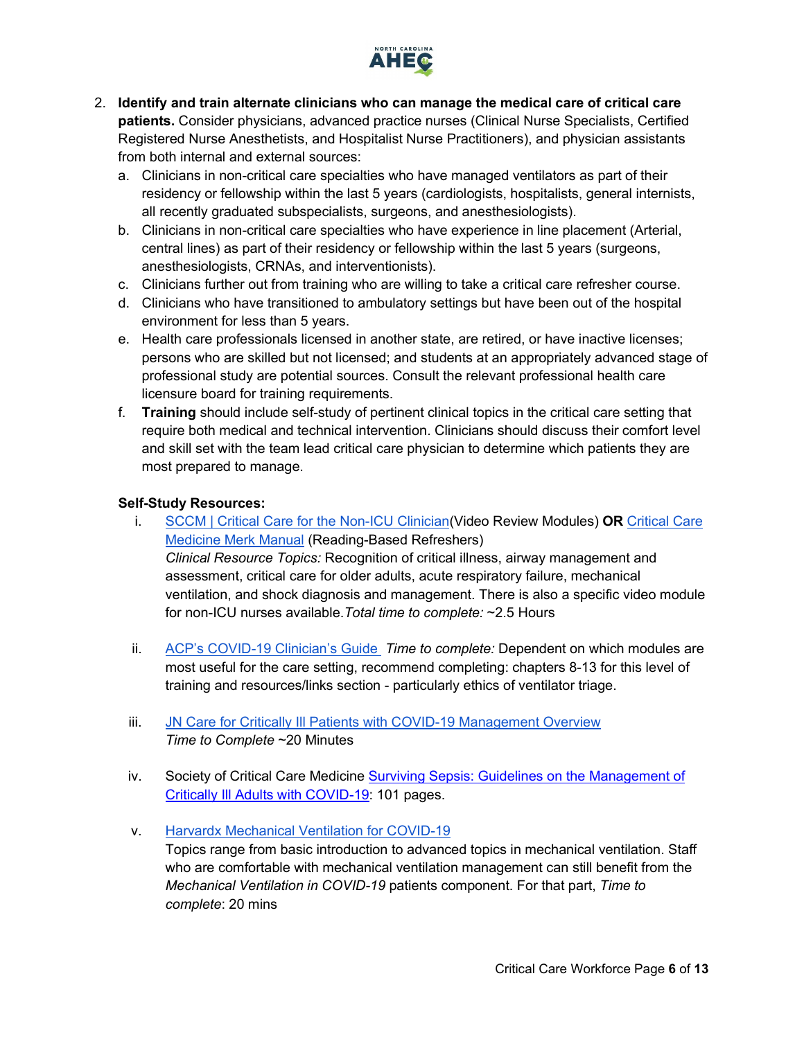

- <span id="page-5-0"></span>2. **Identify and train alternate clinicians who can manage the medical care of critical care patients.** Consider physicians, advanced practice nurses (Clinical Nurse Specialists, Certified Registered Nurse Anesthetists, and Hospitalist Nurse Practitioners), and physician assistants from both internal and external sources:
	- a. Clinicians in non-critical care specialties who have managed ventilators as part of their residency or fellowship within the last 5 years (cardiologists, hospitalists, general internists, all recently graduated subspecialists, surgeons, and anesthesiologists).
	- b. Clinicians in non-critical care specialties who have experience in line placement (Arterial, central lines) as part of their residency or fellowship within the last 5 years (surgeons, anesthesiologists, CRNAs, and interventionists).
	- c. Clinicians further out from training who are willing to take a critical care refresher course.
	- d. Clinicians who have transitioned to ambulatory settings but have been out of the hospital environment for less than 5 years.
	- e. Health care professionals licensed in another state, are retired, or have inactive licenses; persons who are skilled but not licensed; and students at an appropriately advanced stage of professional study are potential sources. Consult the relevant professional health care licensure board for training requirements.
	- f. **Training** should include self-study of pertinent clinical topics in the critical care setting that require both medical and technical intervention. Clinicians should discuss their comfort level and skill set with the team lead critical care physician to determine which patients they are most prepared to manage.

# **Self-Study Resources:**

- i. [SCCM | Critical Care for the Non-ICU Clinician\(](https://covid19.sccm.org/nonicu.htm)Video Review Modules) **OR** [Critical Care](https://www.merckmanuals.com/professional/critical-care-medicine)  [Medicine Merk Manual](https://www.merckmanuals.com/professional/critical-care-medicine) (Reading-Based Refreshers) *Clinical Resource Topics:* Recognition of critical illness, airway management and assessment, critical care for older adults, acute respiratory failure, mechanical ventilation, and shock diagnosis and management. There is also a specific video module for non-ICU nurses available.*Total time to complete:* ~2.5 Hours
- ii. [ACP's COVID-19 Clinician's Guide](https://assets.acponline.org/coronavirus/scormcontent/?&_ga=2.5648691.1012314021.1585845467-1073402165.1585845467#/) *Time to complete:* Dependent on which modules are most useful for the care setting, recommend completing: chapters 8-13 for this level of training and resources/links section - particularly ethics of ventilator triage.
- iii. JN Care for Critically III Patients with COVID-19 Management Overview *Time to Complete* ~20 Minutes
- iv. Society of Critical Care Medicine [Surviving Sepsis: Guidelines on the Management of](https://www.sccm.org/getattachment/Disaster/SSC-COVID19-Critical-Care-Guidelines.pdf)  [Critically Ill Adults with COVID-19:](https://www.sccm.org/getattachment/Disaster/SSC-COVID19-Critical-Care-Guidelines.pdf) 101 pages.

# v. Harvardx Mechanical [Ventilation for COVID-19](https://www.edx.org/course/mechanical-ventilation-for-covid-19)

Topics range from basic introduction to advanced topics in mechanical ventilation. Staff who are comfortable with mechanical ventilation management can still benefit from the *Mechanical Ventilation in COVID-19* patients component. For that part, *Time to complete*: 20 mins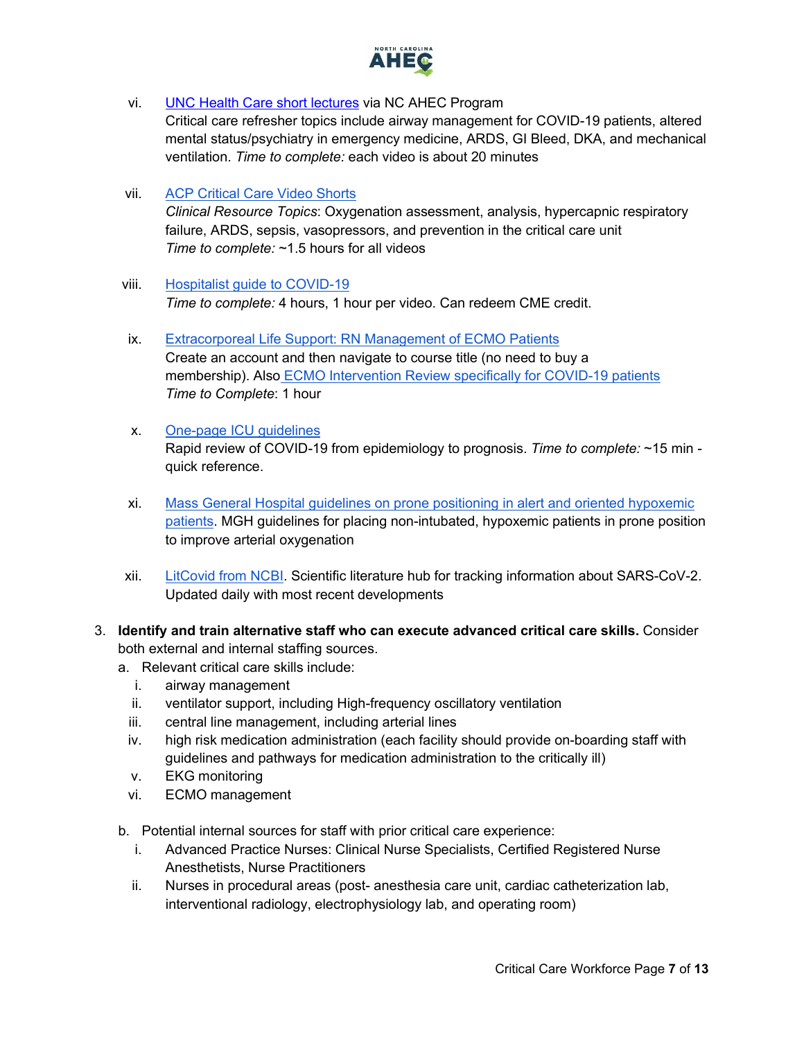

- vi. [UNC Health Care short lectures](https://www.ncahec.net/covid-19/training-and-literature-for-health-care-professionals/critical-care-skills/) via NC AHEC Program Critical care refresher topics include airway management for COVID-19 patients, altered mental status/psychiatry in emergency medicine, ARDS, GI Bleed, DKA, and mechanical ventilation. *Time to complete:* each video is about 20 minutes
- vii. [ACP Critical Care Video Shorts](https://www.acponline.org/featured-products/critical-care-video-shorts/view-critical-care-video-shorts) *Clinical Resource Topics*: Oxygenation assessment, analysis, hypercapnic respiratory failure, ARDS, sepsis, vasopressors, and prevention in the critical care unit *Time to complete:* ~1.5 hours for all videos
- viii. Hospitalist [guide to COVID-19](https://www.hospitalmedicine.org/clinical-topics/coronavirus-disease-2019-covid-19-resources-for-hospitalists/?utm_medium=Web&utm_source=Epi&utm_campaign=COVID20&utm_term=3.23.2020&utm_content=topbanner#Critical_Care_ICU) *Time to complete:* 4 hours, 1 hour per video. Can redeem CME credit.
- ix. [Extracorporeal Life Support: RN Management of ECMO Patients](https://www.aacn.org/education/webinar-series/wb0058/extracorporeal-life-support-rn-management-of-ecmo-patients) Create an account and then navigate to course title (no need to buy a membership). Also [ECMO Intervention Review specifically for COVID-19 patients](https://edhub.ama-assn.org/jn-learning/module/2761778?resultClick=1&bypassSolrId=J_2761778) *Time to Complete*: 1 hour
- x. [One-page ICU guidelines](https://www.onepagericu.com/) Rapid review of COVID-19 from epidemiology to prognosis. *Time to complete:* ~15 min quick reference.
- xi. [Mass General Hospital guidelines on prone positioning in alert and oriented hypoxemic](https://www.massgeneral.org/assets/MGH/pdf/news/coronavirus/prone-positioning-protocol-for-non-intubated-patients.pdf)  [patients.](https://www.massgeneral.org/assets/MGH/pdf/news/coronavirus/prone-positioning-protocol-for-non-intubated-patients.pdf) MGH guidelines for placing non-intubated, hypoxemic patients in prone position to improve arterial oxygenation
- xii. [LitCovid from NCBI.](https://www.ncbi.nlm.nih.gov/research/coronavirus/) Scientific literature hub for tracking information about SARS-CoV-2. Updated daily with most recent developments
- <span id="page-6-0"></span>3. **Identify and train alternative staff who can execute advanced critical care skills.** Consider both external and internal staffing sources.
	- a. Relevant critical care skills include:
		- i. airway management
		- ii. ventilator support, including High-frequency oscillatory ventilation
		- iii. central line management, including arterial lines
		- iv. high risk medication administration (each facility should provide on-boarding staff with guidelines and pathways for medication administration to the critically ill)
		- v. EKG monitoring
	- vi. ECMO management
	- b. Potential internal sources for staff with prior critical care experience:
		- i. Advanced Practice Nurses: Clinical Nurse Specialists, Certified Registered Nurse Anesthetists, Nurse Practitioners
		- ii. Nurses in procedural areas (post- anesthesia care unit, cardiac catheterization lab, interventional radiology, electrophysiology lab, and operating room)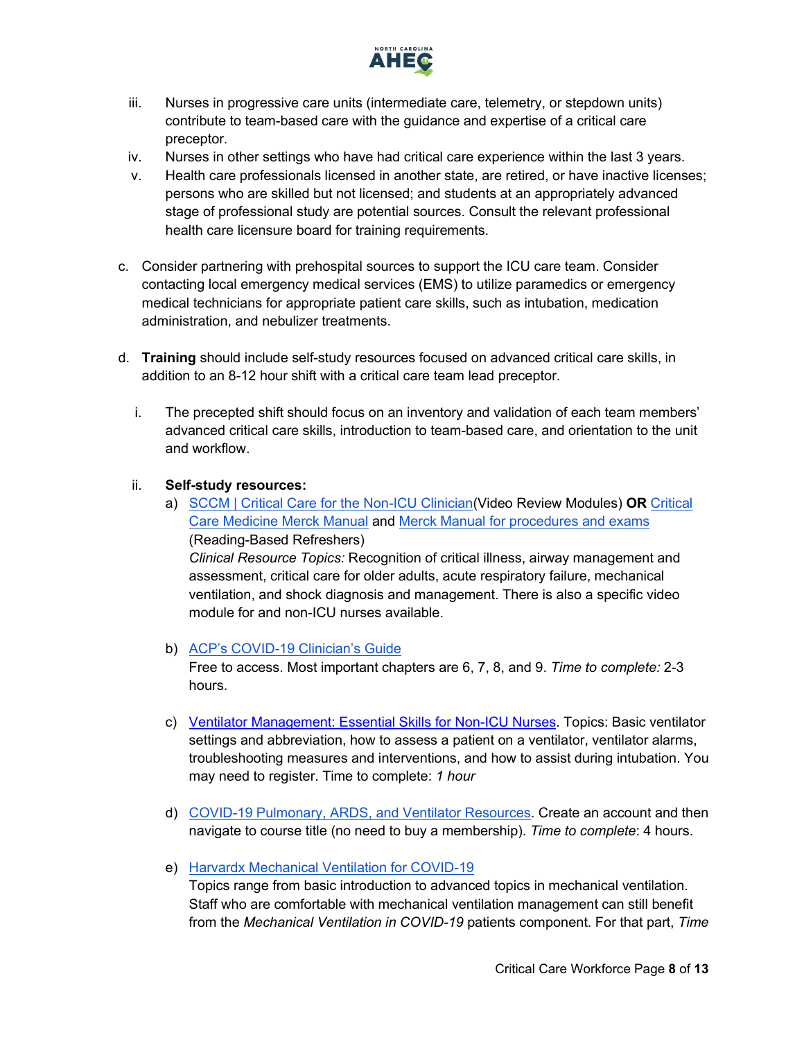

- iii. Nurses in progressive care units (intermediate care, telemetry, or stepdown units) contribute to team-based care with the guidance and expertise of a critical care preceptor.
- iv. Nurses in other settings who have had critical care experience within the last 3 years.
- v. Health care professionals licensed in another state, are retired, or have inactive licenses; persons who are skilled but not licensed; and students at an appropriately advanced stage of professional study are potential sources. Consult the relevant professional health care licensure board for training requirements.
- c. Consider partnering with prehospital sources to support the ICU care team. Consider contacting local emergency medical services (EMS) to utilize paramedics or emergency medical technicians for appropriate patient care skills, such as intubation, medication administration, and nebulizer treatments.
- d. **Training** should include self-study resources focused on advanced critical care skills, in addition to an 8-12 hour shift with a critical care team lead preceptor.
	- i. The precepted shift should focus on an inventory and validation of each team members' advanced critical care skills, introduction to team-based care, and orientation to the unit and workflow.

#### ii. **Self-study resources:**

a) [SCCM | Critical Care for the Non-ICU Clinician\(](https://covid19.sccm.org/nonicu.htm)Video Review Modules) **OR** [Critical](https://www.merckmanuals.com/professional/critical-care-medicine)  [Care Medicine Merck Manual](https://www.merckmanuals.com/professional/critical-care-medicine) and [Merck Manual for procedures and exams](https://www.merckmanuals.com/professional/pages-with-widgets/procedures-and-exams?mode=list) (Reading-Based Refreshers) *Clinical Resource Topics:* Recognition of critical illness, airway management and assessment, critical care for older adults, acute respiratory failure, mechanical ventilation, and shock diagnosis and management. There is also a specific video module for and non-ICU nurses available.

### b) [ACP's COVID-19 Clinician's Guide](https://assets.acponline.org/coronavirus/scormcontent/?&_ga=2.5648691.1012314021.1585845467-1073402165.1585845467#/)

Free to access. Most important chapters are 6, 7, 8, and 9. *Time to complete:* 2-3 hours.

- c) [Ventilator Management: Essential Skills for Non-ICU Nurses.](https://event.on24.com/wcc/r/2269038/5EA5A4A8FA91A8E492A01C83B19CC1E1) Topics: Basic ventilator settings and abbreviation, how to assess a patient on a ventilator, ventilator alarms, troubleshooting measures and interventions, and how to assist during intubation. You may need to register. Time to complete: *1 hour*
- d) [COVID-19 Pulmonary, ARDS, and Ventilator Resources.](https://www.aacn.org/education/online-courses/covid-19-pulmonary-ards-and-ventilator-resources) Create an account and then navigate to course title (no need to buy a membership). *Time to complete*: 4 hours.
- e) [Harvardx Mechanical Ventilation for COVID-19](https://www.edx.org/course/mechanical-ventilation-for-covid-19)

Topics range from basic introduction to advanced topics in mechanical ventilation. Staff who are comfortable with mechanical ventilation management can still benefit from the *Mechanical Ventilation in COVID-19* patients component. For that part, *Time*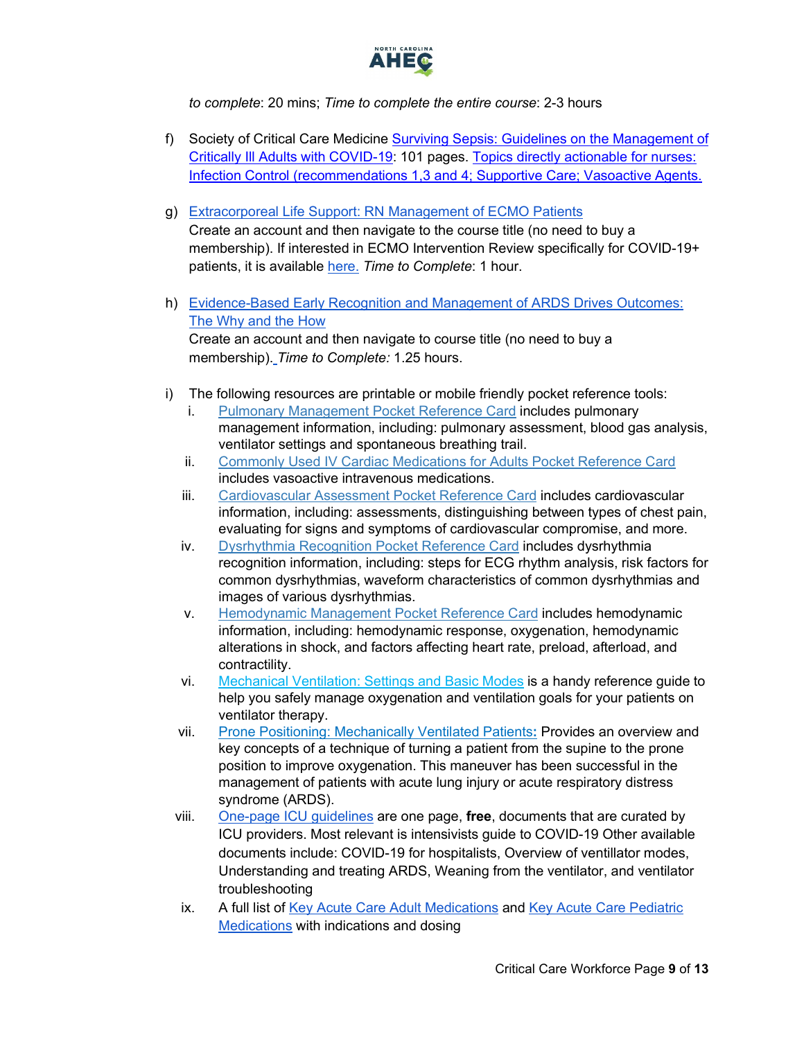

*to complete*: 20 mins; *Time to complete the entire course*: 2-3 hours

- f) Society of Critical Care Medicine [Surviving Sepsis: Guidelines on the Management of](https://www.sccm.org/getattachment/Disaster/SSC-COVID19-Critical-Care-Guidelines.pdf)  [Critically Ill Adults with COVID-19:](https://www.sccm.org/getattachment/Disaster/SSC-COVID19-Critical-Care-Guidelines.pdf) 101 pages. [Topics directly actionable for nurses:](https://www.aacn.org/blog/surviving-sepsis-campaign-guidelines-for-treating-covid-19-patients?sc_camp=22A047014B4445B2BF0BFAFD5BAF24E7&_zs=rRApb&_zl=XFe42)  [Infection Control \(recommendations 1,3 and 4; Supportive Care; Vasoactive Agents.](https://www.aacn.org/blog/surviving-sepsis-campaign-guidelines-for-treating-covid-19-patients?sc_camp=22A047014B4445B2BF0BFAFD5BAF24E7&_zs=rRApb&_zl=XFe42)
- g) [Extracorporeal Life Support: RN Management of ECMO Patients](https://www.aacn.org/education/webinar-series/wb0058/extracorporeal-life-support-rn-management-of-ecmo-patients) Create an account and then navigate to the course title (no need to buy a membership). If interested in ECMO Intervention Review specifically for COVID-19+ patients, it is available [here.](https://edhub.ama-assn.org/jn-learning/module/2761778?resultClick=1&bypassSolrId=J_2761778) *Time to Complete*: 1 hour.
- h) [Evidence-Based Early Recognition and Management of ARDS Drives Outcomes:](https://www.aacn.org/education/ce-activities/nti18347/evidencebased-early-recognition-and-management-of-ards-drives-outcomes-the-why-and-how)  [The Why and the How](https://www.aacn.org/education/ce-activities/nti18347/evidencebased-early-recognition-and-management-of-ards-drives-outcomes-the-why-and-how) Create an account and then navigate to course title (no need to buy a membership). *Time to Complete:* 1.25 hours.
- i) The following resources are printable or mobile friendly pocket reference tools:
	- i. [Pulmonary Management Pocket Reference Card](https://www.aacn.org/store/books/400857/aacn-pulmonary-management-pocket-reference-card) includes pulmonary management information, including: pulmonary assessment, blood gas analysis, ventilator settings and spontaneous breathing trail.
	- ii. [Commonly Used IV Cardiac Medications for Adults Pocket Reference Card](https://www.aacn.org/store/books/400820/aacn-commonly-used-iv-cardiac-medications-for-adults-pocket-reference-card) includes vasoactive intravenous medications.
	- iii. [Cardiovascular Assessment Pocket Reference Card](https://www.aacn.org/store/books/400855/aacn-cardiovascular-assessment-pocket-reference-card) includes cardiovascular information, including: assessments, distinguishing between types of chest pain, evaluating for signs and symptoms of cardiovascular compromise, and more.
	- iv. [Dysrhythmia Recognition Pocket Reference Card](https://www.aacn.org/store/books/400758/aacn-dysrhythmia-recognition-pocket-reference-card) includes dysrhythmia recognition information, including: steps for ECG rhythm analysis, risk factors for common dysrhythmias, waveform characteristics of common dysrhythmias and images of various dysrhythmias.
	- v. [Hemodynamic Management Pocket Reference Card](https://www.aacn.org/store/books/400751/aacn-hemodynamic-management-pocket-reference-card) includes hemodynamic information, including: hemodynamic response, oxygenation, hemodynamic alterations in shock, and factors affecting heart rate, preload, afterload, and contractility.
	- vi. [Mechanical Ventilation: Settings and Basic Modes](https://www.nursingcenter.com/clinical-resources/nursing-pocket-cards/mechanical-ventilation-settings-and-basic-modes?utm_source=ncenews&utm_medium=email&utm_campaign=0-n001l&mkt_tok=eyJpIjoiT1dSbFpqQm1aREprWlRGbSIsInQiOiJybmxHTVlCYVVrU21DelpNMVNBZ0ljVjNTNmUyOGt1Rk12WUtpb2E2a2gwNGdJUFpabjdzK2ZnWHRHR0lWbWpKZFVhMjdZcXJnYWwxMTdzanFKYytjdmhmU3J6Y1ZFazhtbklrSGNvbXRqaXh2K3ZUdkZpNlpYUlFONHJ1djZZVzhlUHkwU1wvNGpwYVZrckdmZWdZNXp3PT0ifQ%3D%3D) is a handy reference guide to help you safely manage oxygenation and ventilation goals for your patients on ventilator therapy.
	- vii. [Prone Positioning: Mechanically Ventilated Patients](https://www.nursingcenter.com/clinical-resources/nursing-pocket-cards/prone-positioning-mechanically-ventilated-patients?utm_source=ncenews&utm_medium=email&utm_campaign=0-n001l&mkt_tok=eyJpIjoiT1dSbFpqQm1aREprWlRGbSIsInQiOiJybmxHTVlCYVVrU21DelpNMVNBZ0ljVjNTNmUyOGt1Rk12WUtpb2E2a2gwNGdJUFpabjdzK2ZnWHRHR0lWbWpKZFVhMjdZcXJnYWwxMTdzanFKYytjdmhmU3J6Y1ZFazhtbklrSGNvbXRqaXh2K3ZUdkZpNlpYUlFONHJ1djZZVzhlUHkwU1wvNGpwYVZrckdmZWdZNXp3PT0ifQ%3D%3D)**:** Provides an overview and key concepts of a technique of turning a patient from the supine to the prone position to improve oxygenation. This maneuver has been successful in the management of patients with acute lung injury or acute respiratory distress syndrome (ARDS).
	- viii. [One-page ICU guidelines](https://www.onepagericu.com/) are one page, **free**, documents that are curated by ICU providers. Most relevant is intensivists guide to COVID-19 Other available documents include: COVID-19 for hospitalists, Overview of ventillator modes, Understanding and treating ARDS, Weaning from the ventilator, and ventilator troubleshooting
	- ix. A full list of [Key Acute Care Adult Medications](https://chemm.nlm.nih.gov/adultmedications.htm) and [Key Acute Care Pediatric](https://chemm.nlm.nih.gov/pediatricmedications.htm)  [Medications](https://chemm.nlm.nih.gov/pediatricmedications.htm) with indications and dosing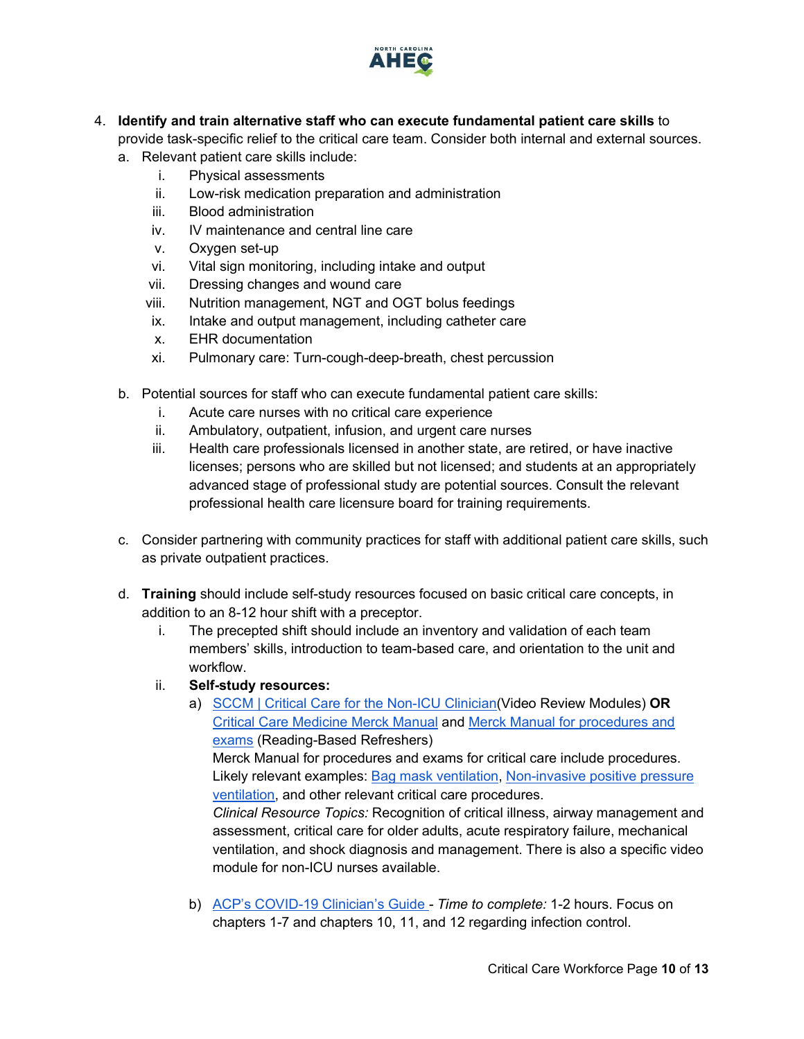

- <span id="page-9-0"></span>4. **Identify and train alternative staff who can execute fundamental patient care skills** to provide task-specific relief to the critical care team. Consider both internal and external sources.
	- a. Relevant patient care skills include:
		- i. Physical assessments
		- ii. Low-risk medication preparation and administration
		- iii. Blood administration
		- iv. IV maintenance and central line care
		- v. Oxygen set-up
		- vi. Vital sign monitoring, including intake and output
		- vii. Dressing changes and wound care
		- viii. Nutrition management, NGT and OGT bolus feedings
		- ix. Intake and output management, including catheter care
		- x. EHR documentation
		- xi. Pulmonary care: Turn-cough-deep-breath, chest percussion
	- b. Potential sources for staff who can execute fundamental patient care skills:
		- i. Acute care nurses with no critical care experience
		- ii. Ambulatory, outpatient, infusion, and urgent care nurses
		- iii. Health care professionals licensed in another state, are retired, or have inactive licenses; persons who are skilled but not licensed; and students at an appropriately advanced stage of professional study are potential sources. Consult the relevant professional health care licensure board for training requirements.
	- c. Consider partnering with community practices for staff with additional patient care skills, such as private outpatient practices.
	- d. **Training** should include self-study resources focused on basic critical care concepts, in addition to an 8-12 hour shift with a preceptor.
		- i. The precepted shift should include an inventory and validation of each team members' skills, introduction to team-based care, and orientation to the unit and workflow.
		- ii. **Self-study resources:**
			- a) [SCCM | Critical Care for the Non-ICU Clinician\(](https://covid19.sccm.org/nonicu.htm)Video Review Modules) **OR** [Critical Care Medicine Merck Manual](https://www.merckmanuals.com/professional/critical-care-medicine) and [Merck Manual for procedures and](https://www.merckmanuals.com/professional/pages-with-widgets/procedures-and-exams?mode=list)  [exams](https://www.merckmanuals.com/professional/pages-with-widgets/procedures-and-exams?mode=list) (Reading-Based Refreshers)

Merck Manual for procedures and exams for critical care include procedures. Likely relevant examples: [Bag mask ventilation,](https://www.merckmanuals.com/professional/multimedia/video/v28617505) [Non-invasive positive pressure](https://www.merckmanuals.com/professional/multimedia/video/v8517416)  [ventilation,](https://www.merckmanuals.com/professional/multimedia/video/v8517416) and other relevant critical care procedures.

*Clinical Resource Topics:* Recognition of critical illness, airway management and assessment, critical care for older adults, acute respiratory failure, mechanical ventilation, and shock diagnosis and management. There is also a specific video module for non-ICU nurses available.

b) [ACP's COVID-19 Clinician's Guide](https://assets.acponline.org/coronavirus/scormcontent/?&_ga=2.5648691.1012314021.1585845467-1073402165.1585845467#/) *- Time to complete:* 1-2 hours. Focus on chapters 1-7 and chapters 10, 11, and 12 regarding infection control.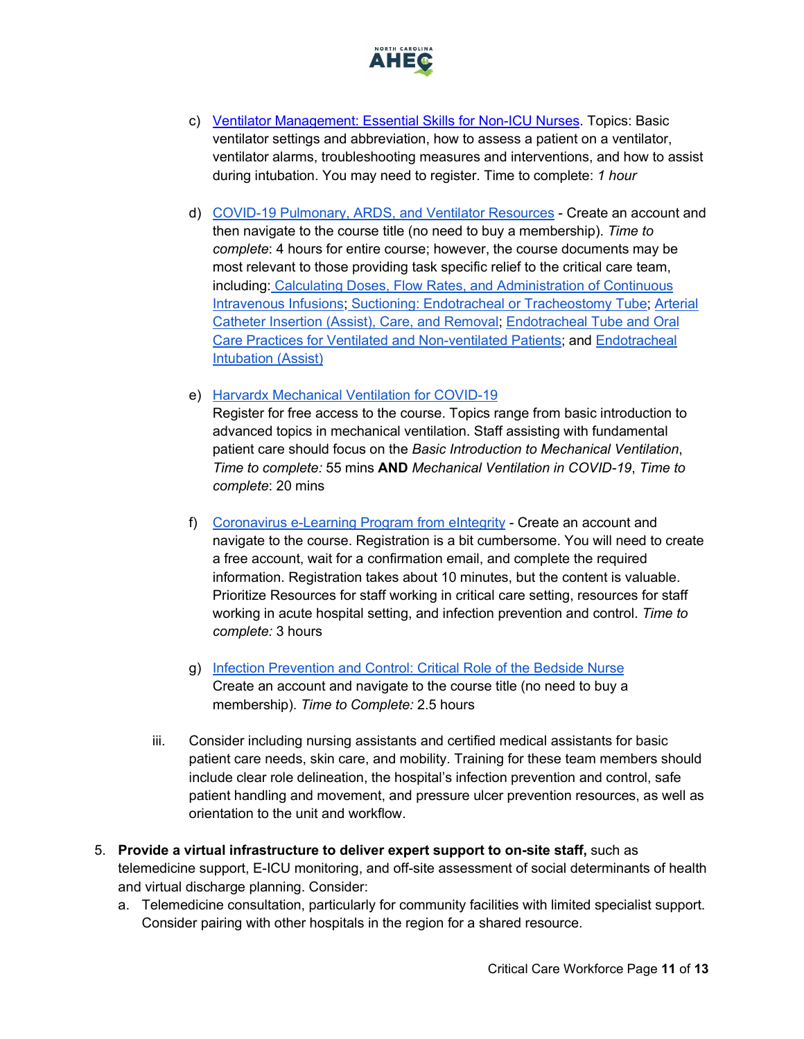

- c) [Ventilator Management: Essential Skills for Non-ICU Nurses.](https://event.on24.com/wcc/r/2269038/5EA5A4A8FA91A8E492A01C83B19CC1E1) Topics: Basic ventilator settings and abbreviation, how to assess a patient on a ventilator, ventilator alarms, troubleshooting measures and interventions, and how to assist during intubation. You may need to register. Time to complete: *1 hour*
- d) [COVID-19 Pulmonary, ARDS, and Ventilator Resources](https://www.aacn.org/education/online-courses/covid-19-pulmonary-ards-and-ventilator-resources) Create an account and then navigate to the course title (no need to buy a membership). *Time to complete*: 4 hours for entire course; however, the course documents may be most relevant to those providing task specific relief to the critical care team, including: [Calculating Doses, Flow Rates, and Administration of Continuous](https://www.aacn.org/docs/Photos/Procedure-141-u3dv2p1z.pdf)  [Intravenous Infusions;](https://www.aacn.org/docs/Photos/Procedure-141-u3dv2p1z.pdf) [Suctioning: Endotracheal or Tracheostomy Tube;](https://www.aacn.org/docs/Photos/Procedure-10-kmptp0mn.pdf) [Arterial](https://www.aacn.org/docs/Photos/Procedure-59-4ihnnti3.pdf)  [Catheter Insertion \(Assist\), Care, and Removal;](https://www.aacn.org/docs/Photos/Procedure-59-4ihnnti3.pdf) [Endotracheal Tube and Oral](https://www.aacn.org/docs/Photos/Procedure-04-dab15t1l.pdf)  [Care Practices for Ventilated and Non-ventilated Patients;](https://www.aacn.org/docs/Photos/Procedure-04-dab15t1l.pdf) and [Endotracheal](https://www.aacn.org/docs/Photos/Procedure-03-whofmjfb.pdf)  [Intubation \(Assist\)](https://www.aacn.org/docs/Photos/Procedure-03-whofmjfb.pdf)

#### e) [Harvardx Mechanical Ventilation for COVID-19](https://www.edx.org/course/mechanical-ventilation-for-covid-19)

Register for free access to the course. Topics range from basic introduction to advanced topics in mechanical ventilation. Staff assisting with fundamental patient care should focus on the *Basic Introduction to Mechanical Ventilation*, *Time to complete:* 55 mins **AND** *Mechanical Ventilation in COVID-19*, *Time to complete*: 20 mins

- f) [Coronavirus e-Learning Program from eIntegrity](https://www.eintegrity.org/e-learning-healthcare-course/coronavirus.html?utm_source=Twitter&utm_medium=social&utm_campaign=SocialSignIn) Create an account and navigate to the course. Registration is a bit cumbersome. You will need to create a free account, wait for a confirmation email, and complete the required information. Registration takes about 10 minutes, but the content is valuable. Prioritize Resources for staff working in critical care setting, resources for staff working in acute hospital setting, and infection prevention and control. *Time to complete:* 3 hours
- g) [Infection Prevention and Control: Critical Role of the Bedside Nurse](https://www.aacn.org/education/ce-activities/nti18463/infection-prevention-and-control-critical-role-of-the-bedside-nurse) Create an account and navigate to the course title (no need to buy a membership). *Time to Complete:* 2.5 hours
- iii. Consider including nursing assistants and certified medical assistants for basic patient care needs, skin care, and mobility. Training for these team members should include clear role delineation, the hospital's infection prevention and control, safe patient handling and movement, and pressure ulcer prevention resources, as well as orientation to the unit and workflow.
- <span id="page-10-0"></span>5. **Provide a virtual infrastructure to deliver expert support to on-site staff,** such as telemedicine support, E-ICU monitoring, and off-site assessment of social determinants of health and virtual discharge planning. Consider:
	- a. Telemedicine consultation, particularly for community facilities with limited specialist support. Consider pairing with other hospitals in the region for a shared resource.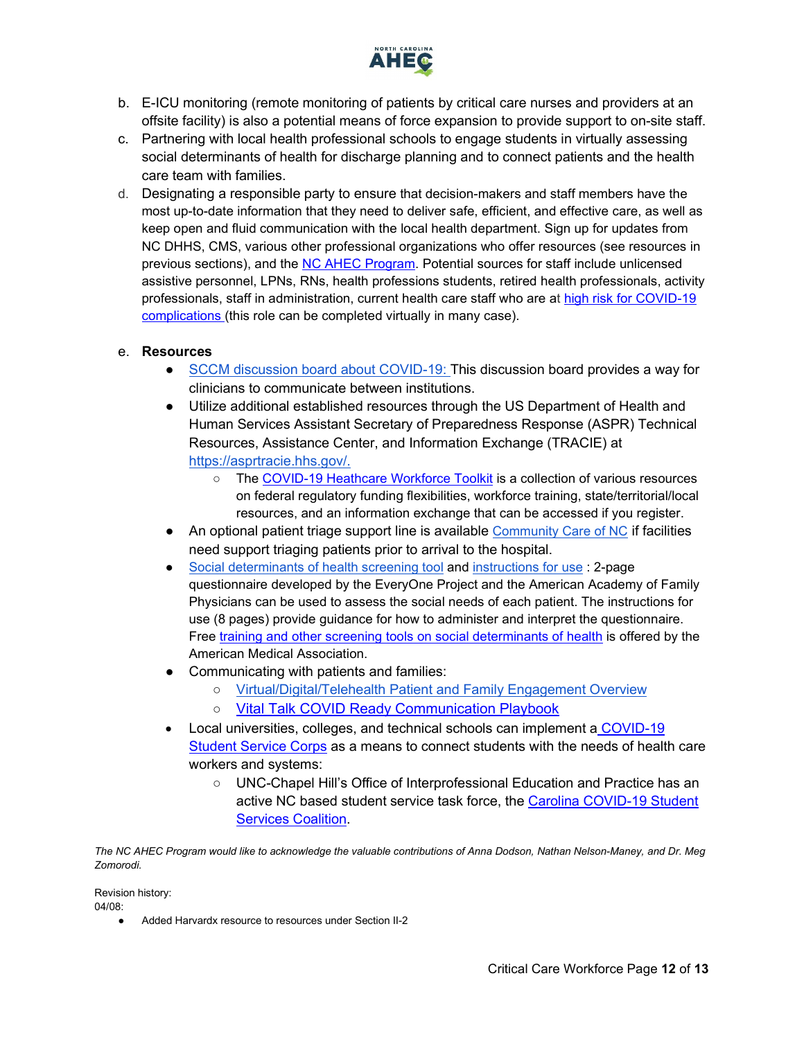

- b. E-ICU monitoring (remote monitoring of patients by critical care nurses and providers at an offsite facility) is also a potential means of force expansion to provide support to on-site staff.
- c. Partnering with local health professional schools to engage students in virtually assessing social determinants of health for discharge planning and to connect patients and the health care team with families.
- d. Designating a responsible party to ensure that decision-makers and staff members have the most up-to-date information that they need to deliver safe, efficient, and effective care, as well as keep open and fluid communication with the local health department. Sign up for updates from NC DHHS, CMS, various other professional organizations who offer resources (see resources in previous sections), and the [NC AHEC Program.](https://www.ncahec.net/covid-19/webinars/) Potential sources for staff include unlicensed assistive personnel, LPNs, RNs, health professions students, retired health professionals, activity professionals, staff in administration, current health care staff who are at [high risk for COVID-19](https://www.cdc.gov/coronavirus/2019-ncov/need-extra-precautions/people-at-higher-risk.html)  [complications \(](https://www.cdc.gov/coronavirus/2019-ncov/need-extra-precautions/people-at-higher-risk.html)this role can be completed virtually in many case).

#### e. **Resources**

- [SCCM discussion board about COVID-19:](https://community.sccm.org/) This discussion board provides a way for clinicians to communicate between institutions.
- Utilize additional established resources through the US Department of Health and Human Services Assistant Secretary of Preparedness Response (ASPR) Technical Resources, Assistance Center, and Information Exchange (TRACIE) at [https://asprtracie.hhs.gov/.](https://asprtracie.hhs.gov/)
	- The [COVID-19 Heathcare Workforce Toolkit](https://asprtracie.hhs.gov/Workforce-Virtual-Toolkit) is a collection of various resources on federal regulatory funding flexibilities, workforce training, state/territorial/local resources, and an information exchange that can be accessed if you register.
- An optional patient triage support line is available [Community Care of NC](https://www.communitycarenc.org/covid19-triage-plus-provider-facing) if facilities need support triaging patients prior to arrival to the hospital.
- [Social determinants of health screening tool](https://www.aafp.org/dam/AAFP/documents/patient_care/everyone_project/hops19-physician-form-sdoh.pdf) and [instructions for use](https://www.aafp.org/dam/AAFP/documents/patient_care/everyone_project/hops19-physician-guide-sdoh.pdf) : 2-page questionnaire developed by the EveryOne Project and the American Academy of Family Physicians can be used to assess the social needs of each patient. The instructions for use (8 pages) provide guidance for how to administer and interpret the questionnaire. Free [training and other screening tools on social determinants of health](https://www.aapc.com/blog/47444-free-online-training-on-social-determinants-of-health/) is offered by the American Medical Association.
- Communicating with patients and families:
	- [Virtual/Digital/Telehealth Patient and Family Engagement Overview](https://www.healthit.gov/sites/default/files/playbook/pdf/nlc-secure-messaging-fact-sheet.pdf)
	- Vital Talk COVID Ready Communication Playbook
- Local universities, colleges, and technical schools can implement a [COVID-19](https://www.dropbox.com/s/ejw0i2ubjetfegs/200322_CSSC_T%20oolkit.pdf)  [Student Service Corps](https://www.dropbox.com/s/ejw0i2ubjetfegs/200322_CSSC_T%20oolkit.pdf) as a means to connect students with the needs of health care workers and systems:
	- UNC-Chapel Hill's Office of Interprofessional Education and Practice has an active NC based student service task force, the Carolina COVID-19 Student [Services Coalition.](https://ipep.unc.edu/students/carolina-covid-19-student-services-corps-%20carolina-cssc/)

*The NC AHEC Program would like to acknowledge the valuable contributions of Anna Dodson, Nathan Nelson-Maney, and Dr. Meg Zomorodi.*

Revision history:

 $04/08$ 

● Added Harvardx resource to resources under Section II-2